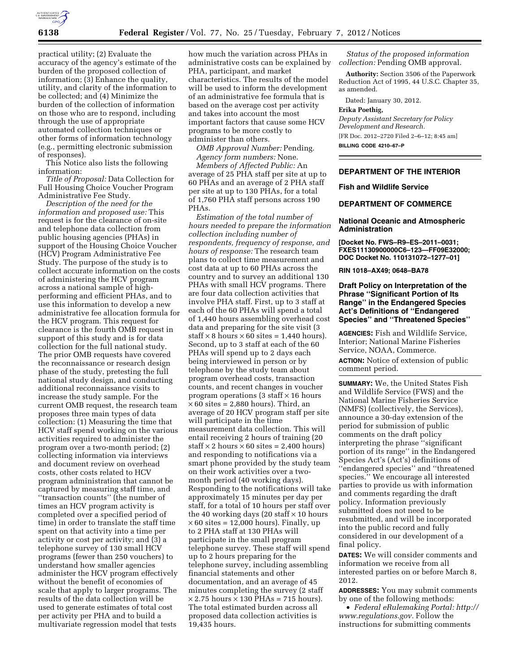

practical utility; (2) Evaluate the accuracy of the agency's estimate of the burden of the proposed collection of information; (3) Enhance the quality, utility, and clarity of the information to be collected; and (4) Minimize the burden of the collection of information on those who are to respond, including through the use of appropriate automated collection techniques or other forms of information technology (e.g., permitting electronic submission of responses).

This Notice also lists the following information:

*Title of Proposal:* Data Collection for Full Housing Choice Voucher Program Administrative Fee Study.

*Description of the need for the information and proposed use:* This request is for the clearance of on-site and telephone data collection from public housing agencies (PHAs) in support of the Housing Choice Voucher (HCV) Program Administrative Fee Study. The purpose of the study is to collect accurate information on the costs of administering the HCV program across a national sample of highperforming and efficient PHAs, and to use this information to develop a new administrative fee allocation formula for the HCV program. This request for clearance is the fourth OMB request in support of this study and is for data collection for the full national study. The prior OMB requests have covered the reconnaissance or research design phase of the study, pretesting the full national study design, and conducting additional reconnaissance visits to increase the study sample. For the current OMB request, the research team proposes three main types of data collection: (1) Measuring the time that HCV staff spend working on the various activities required to administer the program over a two-month period; (2) collecting information via interviews and document review on overhead costs, other costs related to HCV program administration that cannot be captured by measuring staff time, and ''transaction counts'' (the number of times an HCV program activity is completed over a specified period of time) in order to translate the staff time spent on that activity into a time per activity or cost per activity; and (3) a telephone survey of 130 small HCV programs (fewer than 250 vouchers) to understand how smaller agencies administer the HCV program effectively without the benefit of economies of scale that apply to larger programs. The results of the data collection will be used to generate estimates of total cost per activity per PHA and to build a multivariate regression model that tests

how much the variation across PHAs in administrative costs can be explained by PHA, participant, and market characteristics. The results of the model will be used to inform the development of an administrative fee formula that is based on the average cost per activity and takes into account the most important factors that cause some HCV programs to be more costly to administer than others.

*OMB Approval Number:* Pending. *Agency form numbers:* None. *Members of Affected Public:* An average of 25 PHA staff per site at up to 60 PHAs and an average of 2 PHA staff per site at up to 130 PHAs, for a total of 1,760 PHA staff persons across 190 PHAs.

*Estimation of the total number of hours needed to prepare the information collection including number of respondents, frequency of response, and hours of response:* The research team plans to collect time measurement and cost data at up to 60 PHAs across the country and to survey an additional 130 PHAs with small HCV programs. There are four data collection activities that involve PHA staff. First, up to 3 staff at each of the 60 PHAs will spend a total of 1,440 hours assembling overhead cost data and preparing for the site visit (3  $\text{staff} \times 8 \text{ hours} \times 60 \text{ sites} = 1,440 \text{ hours}.$ Second, up to 3 staff at each of the 60 PHAs will spend up to 2 days each being interviewed in person or by telephone by the study team about program overhead costs, transaction counts, and recent changes in voucher program operations (3 staff  $\times$  16 hours  $\times$  60 sites = 2,880 hours). Third, an average of 20 HCV program staff per site will participate in the time measurement data collection. This will entail receiving 2 hours of training (20  $\text{staff} \times 2 \text{ hours} \times 60 \text{ sites} = 2,400 \text{ hours}$ and responding to notifications via a smart phone provided by the study team on their work activities over a twomonth period (40 working days). Responding to the notifications will take approximately 15 minutes per day per staff, for a total of 10 hours per staff over the 40 working days (20 staff  $\times$  10 hours  $\times$  60 sites = 12,000 hours). Finally, up to 2 PHA staff at 130 PHAs will participate in the small program telephone survey. These staff will spend up to 2 hours preparing for the telephone survey, including assembling financial statements and other documentation, and an average of 45 minutes completing the survey (2 staff  $\times$  2.75 hours  $\times$  130 PHAs = 715 hours). The total estimated burden across all proposed data collection activities is 19,435 hours.

*Status of the proposed information collection:* Pending OMB approval.

**Authority:** Section 3506 of the Paperwork Reduction Act of 1995, 44 U.S.C. Chapter 35, as amended.

Dated: January 30, 2012.

#### **Erika Poethig,**

*Deputy Assistant Secretary for Policy Development and Research.*  [FR Doc. 2012–2720 Filed 2–6–12; 8:45 am] **BILLING CODE 4210–67–P** 

**DEPARTMENT OF THE INTERIOR** 

#### **Fish and Wildlife Service**

## **DEPARTMENT OF COMMERCE**

#### **National Oceanic and Atmospheric Administration**

**[Docket No. FWS–R9–ES–2011–0031; FXES11130900000C6–123—FF09E32000; DOC Docket No. 110131072–1277–01]** 

**RIN 1018–AX49; 0648–BA78** 

## **Draft Policy on Interpretation of the Phrase ''Significant Portion of Its Range'' in the Endangered Species Act's Definitions of ''Endangered Species'' and ''Threatened Species''**

**AGENCIES:** Fish and Wildlife Service, Interior; National Marine Fisheries Service, NOAA, Commerce.

**ACTION:** Notice of extension of public comment period.

**SUMMARY:** We, the United States Fish and Wildlife Service (FWS) and the National Marine Fisheries Service (NMFS) (collectively, the Services), announce a 30-day extension of the period for submission of public comments on the draft policy interpreting the phrase ''significant portion of its range'' in the Endangered Species Act's (Act's) definitions of ''endangered species'' and ''threatened species.'' We encourage all interested parties to provide us with information and comments regarding the draft policy. Information previously submitted does not need to be resubmitted, and will be incorporated into the public record and fully considered in our development of a final policy.

**DATES:** We will consider comments and information we receive from all interested parties on or before March 8, 2012.

**ADDRESSES:** You may submit comments by one of the following methods:

• *Federal eRulemaking Portal: [http://](http://www.regulations.gov)  [www.regulations.gov.](http://www.regulations.gov)* Follow the instructions for submitting comments